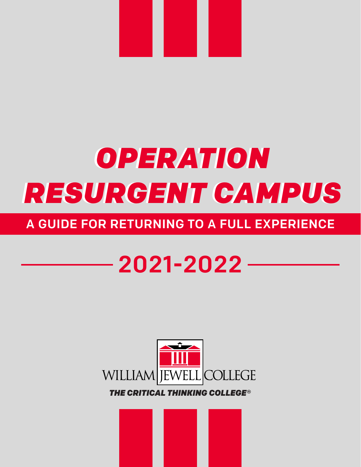

# *OPERATION OPERATION RESURGENT CAMPUS RESURGENT CAMPUS*

## A GUIDE FOR RETURNING TO A FULL EXPERIENCE

## 2021-2022



*THE CRITICAL THINKING COLLEGE®*

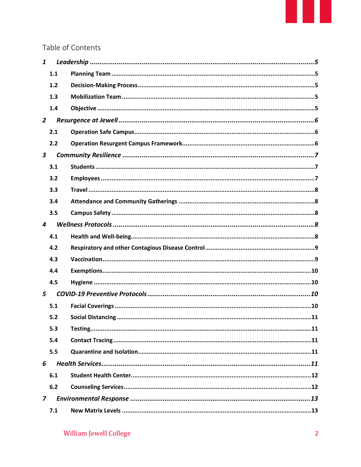### Table of Contents

|                         | $\boldsymbol{1}$ |  |
|-------------------------|------------------|--|
|                         | 1.1              |  |
|                         | 1.2              |  |
|                         | 1.3              |  |
|                         | 1.4              |  |
| $\overline{2}$          |                  |  |
|                         | 2.1              |  |
|                         | 2.2              |  |
| $\overline{\mathbf{3}}$ |                  |  |
|                         | 3.1              |  |
|                         | 3.2              |  |
|                         | 3.3              |  |
|                         | 3.4              |  |
|                         | 3.5              |  |
| $\boldsymbol{4}$        |                  |  |
|                         | 4.1              |  |
|                         | 4.2              |  |
|                         | 4.3              |  |
|                         | 4.4              |  |
|                         | 4.5              |  |
| 5                       |                  |  |
|                         | 5.1              |  |
|                         | 5.2              |  |
|                         | 5.3              |  |
|                         | 5.4              |  |
|                         | 5.5              |  |
| 6                       |                  |  |
|                         | 6.1              |  |
|                         | 6.2              |  |
| $\overline{z}$          |                  |  |
|                         | 7.1              |  |
|                         |                  |  |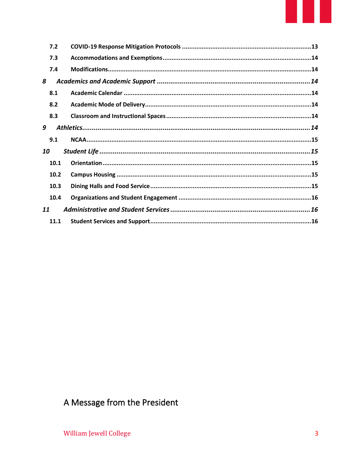| 7.2  |  |  |  |  |
|------|--|--|--|--|
| 7.3  |  |  |  |  |
| 7.4  |  |  |  |  |
| 8    |  |  |  |  |
| 8.1  |  |  |  |  |
| 8.2  |  |  |  |  |
| 8.3  |  |  |  |  |
| 9    |  |  |  |  |
| 9.1  |  |  |  |  |
| 10   |  |  |  |  |
| 10.1 |  |  |  |  |
| 10.2 |  |  |  |  |
| 10.3 |  |  |  |  |
| 10.4 |  |  |  |  |
| 11   |  |  |  |  |
| 11.1 |  |  |  |  |

## A Message from the President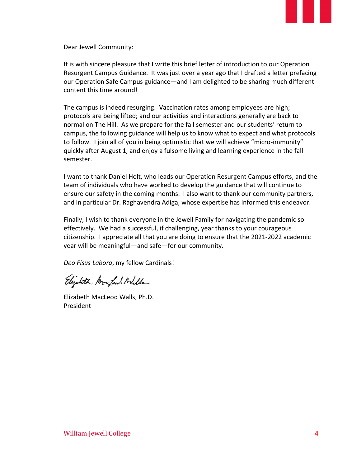

Dear Jewell Community:

It is with sincere pleasure that I write this brief letter of introduction to our Operation Resurgent Campus Guidance. It was just over a year ago that I drafted a letter prefacing our Operation Safe Campus guidance—and I am delighted to be sharing much different content this time around!

The campus is indeed resurging. Vaccination rates among employees are high; protocols are being lifted; and our activities and interactions generally are back to normal on The Hill. As we prepare for the fall semester and our students' return to campus, the following guidance will help us to know what to expect and what protocols to follow. I join all of you in being optimistic that we will achieve "micro-immunity" quickly after August 1, and enjoy a fulsome living and learning experience in the fall semester.

I want to thank Daniel Holt, who leads our Operation Resurgent Campus efforts, and the team of individuals who have worked to develop the guidance that will continue to ensure our safety in the coming months. I also want to thank our community partners, and in particular Dr. Raghavendra Adiga, whose expertise has informed this endeavor.

Finally, I wish to thank everyone in the Jewell Family for navigating the pandemic so effectively. We had a successful, if challenging, year thanks to your courageous citizenship. I appreciate all that you are doing to ensure that the 2021-2022 academic year will be meaningful—and safe—for our community.

*Deo Fisus Labora*, my fellow Cardinals!

Elizabeth Mar Lead Wills

Elizabeth MacLeod Walls, Ph.D. President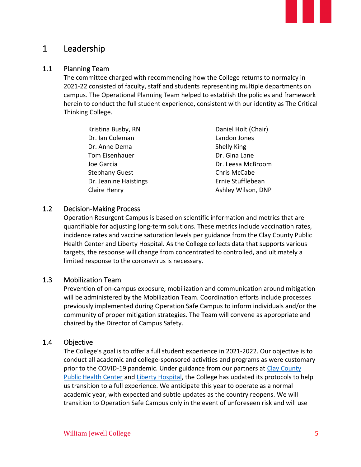#### 1 Leadership

#### 1.1 Planning Team

The committee charged with recommending how the College returns to normalcy in 2021-22 consisted of faculty, staff and students representing multiple departments on campus. The Operational Planning Team helped to establish the policies and framework herein to conduct the full student experience, consistent with our identity as The Critical Thinking College.

| Kristina Busby, RN    | Daniel Holt (Chair) |
|-----------------------|---------------------|
| Dr. Ian Coleman       | Landon Jones        |
| Dr. Anne Dema         | Shelly King         |
| Tom Eisenhauer        | Dr. Gina Lane       |
| Joe Garcia            | Dr. Leesa McBroom   |
| <b>Stephany Guest</b> | Chris McCabe        |
| Dr. Jeanine Haistings | Ernie Stufflebean   |
| Claire Henry          | Ashley Wilson, DNP  |

#### 1.2 Decision-Making Process

Operation Resurgent Campus is based on scientific information and metrics that are quantifiable for adjusting long-term solutions. These metrics include vaccination rates, incidence rates and vaccine saturation levels per guidance from the Clay County Public Health Center and Liberty Hospital. As the College collects data that supports various targets, the response will change from concentrated to controlled, and ultimately a limited response to the coronavirus is necessary.

#### 1.3 Mobilization Team

Prevention of on-campus exposure, mobilization and communication around mitigation will be administered by the Mobilization Team. Coordination efforts include processes previously implemented during Operation Safe Campus to inform individuals and/or the community of proper mitigation strategies. The Team will convene as appropriate and chaired by the Director of Campus Safety.

#### 1.4 Objective

The College's goal is to offer a full student experience in 2021-2022. Our objective is to conduct all academic and college-sponsored activities and programs as were customary prior to the COVID-19 pandemic. Under guidance from our partners at [Clay County](https://www.clayhealth.com/)  [Public Health Center](https://www.clayhealth.com/) an[d Liberty Hospital,](https://www.libertyhospital.org/) the College has updated its protocols to help us transition to a full experience. We anticipate this year to operate as a normal academic year, with expected and subtle updates as the country reopens. We will transition to Operation Safe Campus only in the event of unforeseen risk and will use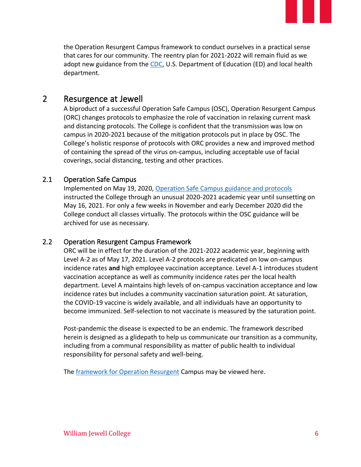the Operation Resurgent Campus framework to conduct ourselves in a practical sense that cares for our community. The reentry plan for 2021-2022 will remain fluid as we adopt new guidance from the [CDC,](https://www.cdc.gov/coronavirus/2019-ncov/index.html) U.S. Department of Education (ED) and local health department.

#### 2 Resurgence at Jewell

A biproduct of a successful Operation Safe Campus (OSC), Operation Resurgent Campus (ORC) changes protocols to emphasize the role of vaccination in relaxing current mask and distancing protocols. The College is confident that the transmission was low on campus in 2020-2021 because of the mitigation protocols put in place by OSC. The College's holistic response of protocols with ORC provides a new and improved method of containing the spread of the virus on-campus, including acceptable use of facial coverings, social distancing, testing and other practices.

#### 2.1 Operation Safe Campus

Implemented on May 19, 2020, [Operation Safe Campus guidance and protocols](https://www.jewell.edu/sites/default/files/pdf/COVID_Campus_Guide_1.1.21.pdf) instructed the College through an unusual 2020-2021 academic year until sunsetting on May 16, 2021. For only a few weeks in November and early December 2020 did the College conduct all classes virtually. The protocols within the OSC guidance will be archived for use as necessary.

#### 2.2 Operation Resurgent Campus Framework

ORC will be in effect for the duration of the 2021-2022 academic year, beginning with Level A-2 as of May 17, 2021. Level A-2 protocols are predicated on low on-campus incidence rates **and** high employee vaccination acceptance. Level A-1 introduces student vaccination acceptance as well as community incidence rates per the local health department. Level A maintains high levels of on-campus vaccination acceptance and low incidence rates but includes a community vaccination saturation point. At saturation, the COVID-19 vaccine is widely available, and all individuals have an opportunity to become immunized. Self-selection to not vaccinate is measured by the saturation point.

Post-pandemic the disease is expected to be an endemic. The framework described herein is designed as a glidepath to help us communicate our transition as a community, including from a communal responsibility as matter of public health to individual responsibility for personal safety and well-being.

The **framework for Operation Resurgent Campus may be viewed here.**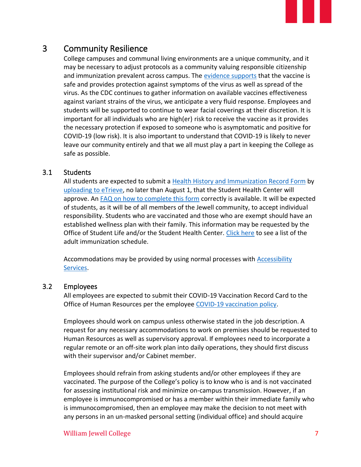#### 3 Community Resilience

College campuses and communal living environments are a unique community, and it may be necessary to adjust protocols as a community valuing responsible citizenship and immunization prevalent across campus. The [evidence supports](https://www.cdc.gov/coronavirus/2019-ncov/science/science-briefs/fully-vaccinated-people.html) that the vaccine is safe and provides protection against symptoms of the virus as well as spread of the virus. As the CDC continues to gather information on available vaccines effectiveness against variant strains of the virus, we anticipate a very fluid response. Employees and students will be supported to continue to wear facial coverings at their discretion. It is important for all individuals who are high(er) risk to receive the vaccine as it provides the necessary protection if exposed to someone who is asymptomatic and positive for COVID-19 (low risk). It is also important to understand that COVID-19 is likely to never leave our community entirely and that we all must play a part in keeping the College as safe as possible.

#### 3.1 Students

All students are expected to submit a [Health History and Immunization Record Form](https://www.jewell.edu/health-center) by [uploading](https://etsts.jewell.edu/idsrv/login?signin=d86f825324fad42bc22381a8b94504e4) to eTrieve, no later than August 1, that the Student Health Center will approve. An [FAQ on how to complete this form](http://www.jewell.edu/sites/default/files/pdf/Health_Immunization_Form_FAQ.pdf) correctly is available. It will be expected of students, as it will be of all members of the Jewell community, to accept individual responsibility. Students who are vaccinated and those who are exempt should have an established wellness plan with their family. This information may be requested by the Office of Student Life and/or the Student Health Center. [Click here](https://www.cdc.gov/vaccines/schedules/downloads/adult/adult-combined-schedule.pdf) to see a list of the adult immunization schedule.

Accommodations may be provided by using normal processes with **Accessibility** [Services.](https://www.jewell.edu/accessibility-services)

#### 3.2 Employees

All employees are expected to submit their COVID-19 Vaccination Record Card to the Office of Human Resources per the employee [COVID-19 vaccination policy.](https://www.jewell.edu/covid-vaccine-policy)

Employees should work on campus unless otherwise stated in the job description. A request for any necessary accommodations to work on premises should be requested to Human Resources as well as supervisory approval. If employees need to incorporate a regular remote or an off-site work plan into daily operations, they should first discuss with their supervisor and/or Cabinet member.

Employees should refrain from asking students and/or other employees if they are vaccinated. The purpose of the College's policy is to know who is and is not vaccinated for assessing institutional risk and minimize on-campus transmission. However, if an employee is immunocompromised or has a member within their immediate family who is immunocompromised, then an employee may make the decision to not meet with any persons in an un-masked personal setting (individual office) and should acquire

#### William Jewell College 7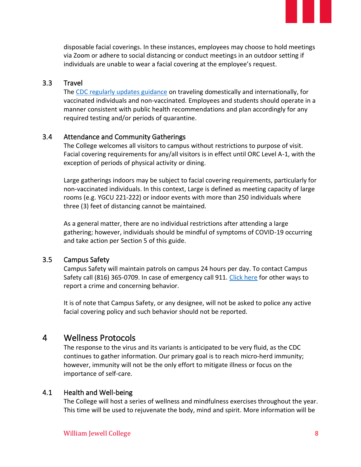disposable facial coverings. In these instances, employees may choose to hold meetings via Zoom or adhere to social distancing or conduct meetings in an outdoor setting if individuals are unable to wear a facial covering at the employee's request.

#### 3.3 Travel

The [CDC regularly updates guidance](https://www.cdc.gov/coronavirus/2019-ncov/travelers/index.html) on traveling domestically and internationally, for vaccinated individuals and non-vaccinated. Employees and students should operate in a manner consistent with public health recommendations and plan accordingly for any required testing and/or periods of quarantine.

#### 3.4 Attendance and Community Gatherings

The College welcomes all visitors to campus without restrictions to purpose of visit. Facial covering requirements for any/all visitors is in effect until ORC Level A-1, with the exception of periods of physical activity or dining.

Large gatherings indoors may be subject to facial covering requirements, particularly for non-vaccinated individuals. In this context, Large is defined as meeting capacity of large rooms (e.g. YGCU 221-222) or indoor events with more than 250 individuals where three (3) feet of distancing cannot be maintained.

As a general matter, there are no individual restrictions after attending a large gathering; however, individuals should be mindful of symptoms of COVID-19 occurring and take action per Section 5 of this guide.

#### 3.5 Campus Safety

Campus Safety will maintain patrols on campus 24 hours per day. To contact Campus Safety call (816) 365-0709. In case of emergency call 911. [Click here](https://www.jewell.edu/how-report-complaints-or-crime) for other ways to report a crime and concerning behavior.

It is of note that Campus Safety, or any designee, will not be asked to police any active facial covering policy and such behavior should not be reported.

#### 4 Wellness Protocols

The response to the virus and its variants is anticipated to be very fluid, as the CDC continues to gather information. Our primary goal is to reach micro-herd immunity; however, immunity will not be the only effort to mitigate illness or focus on the importance of self-care.

#### 4.1 Health and Well-being

The College will host a series of wellness and mindfulness exercises throughout the year. This time will be used to rejuvenate the body, mind and spirit. More information will be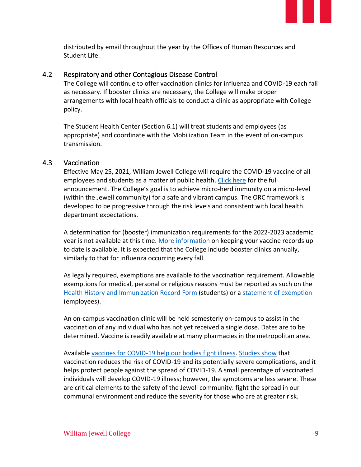distributed by email throughout the year by the Offices of Human Resources and Student Life.

#### 4.2 Respiratory and other Contagious Disease Control

The College will continue to offer vaccination clinics for influenza and COVID-19 each fall as necessary. If booster clinics are necessary, the College will make proper arrangements with local health officials to conduct a clinic as appropriate with College policy.

The Student Health Center (Section 6.1) will treat students and employees (as appropriate) and coordinate with the Mobilization Team in the event of on-campus transmission.

#### 4.3 Vaccination

Effective May 25, 2021, William Jewell College will require the COVID-19 vaccine of all employees and students as a matter of public health. [Click here](https://www.jewell.edu/sites/default/files/pdf/COVID-19_Vaccine_Policy_Fall2021.pdf) for the full announcement. The College's goal is to achieve micro-herd immunity on a micro-level (within the Jewell community) for a safe and vibrant campus. The ORC framework is developed to be progressive through the risk levels and consistent with local health department expectations.

A determination for (booster) immunization requirements for the 2022-2023 academic year is not available at this time. [More information](https://www.cdc.gov/vaccines/adults/vaccination-records.html) on keeping your vaccine records up to date is available. It is expected that the College include booster clinics annually, similarly to that for influenza occurring every fall.

As legally required, exemptions are available to the vaccination requirement. Allowable exemptions for medical, personal or religious reasons must be reported as such on the Health History and [Immunization Record Form](https://www.jewell.edu/health-center) (students) or a [statement of exemption](https://jewell.edu/sites/default/files/Employee_Vaccine_Exemption.pdf) (employees).

An on-campus vaccination clinic will be held semesterly on-campus to assist in the vaccination of any individual who has not yet received a single dose. Dates are to be determined. Vaccine is readily available at many pharmacies in the metropolitan area.

Available [vaccines for COVID-19 help our bodies fight illness.](https://www.cdc.gov/coronavirus/2019-ncov/vaccines/different-vaccines/how-they-work.html?s_cid=10491:what%20does%20the%20covid%20vaccine%20do:sem.ga:p:RG:GM:gen:PTN:FY21) [Studies show](https://www.cdc.gov/coronavirus/2019-ncov/vaccines/effectiveness/work.html) that vaccination reduces the risk of COVID-19 and its potentially severe complications, and it helps protect people against the spread of COVID-19. A small percentage of vaccinated individuals will develop COVID-19 illness; however, the symptoms are less severe. These are critical elements to the safety of the Jewell community: fight the spread in our communal environment and reduce the severity for those who are at greater risk.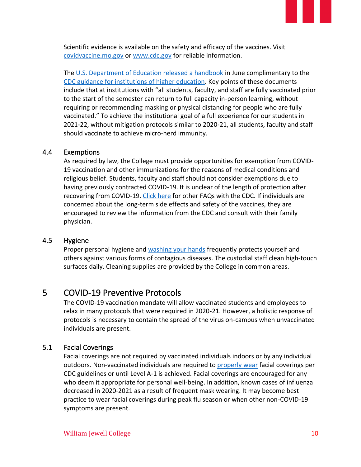Scientific evidence is available on the safety and efficacy of the vaccines. Visit [covidvaccine.mo.gov](http://covidvaccine.mo.gov/) or [www.cdc.gov](http://www.cdc.gov/) for reliable information.

The [U.S. Department of Education released a handbook](https://www2.ed.gov/documents/coronavirus/reopening-3.pdf) in June complimentary to the [CDC guidance for institutions of higher education.](https://www.cdc.gov/coronavirus/2019-ncov/community/colleges-universities/considerations.html) Key points of these documents include that at institutions with "all students, faculty, and staff are fully vaccinated prior to the start of the semester can return to full capacity in-person learning, without requiring or recommending masking or physical distancing for people who are fully vaccinated." To achieve the institutional goal of a full experience for our students in 2021-22, without mitigation protocols similar to 2020-21, all students, faculty and staff should vaccinate to achieve micro-herd immunity.

#### 4.4 Exemptions

As required by law, the College must provide opportunities for exemption from COVID-19 vaccination and other immunizations for the reasons of medical conditions and religious belief. Students, faculty and staff should not consider exemptions due to having previously contracted COVID-19. It is unclear of the length of protection after recovering from COVID-19. [Click here](https://www.cdc.gov/coronavirus/2019-ncov/vaccines/faq.html?s_cid=10482:vaccine%20after%20covid:sem.ga:p:RG:GM:gen:PTN:FY21) for other FAQs with the CDC. If individuals are concerned about the long-term side effects and safety of the vaccines, they are encouraged to review the information from the CDC and consult with their family physician.

#### 4.5 Hygiene

Proper personal hygiene and [washing your hands](https://www.cdc.gov/handwashing/index.html) frequently protects yourself and others against various forms of contagious diseases. The custodial staff clean high-touch surfaces daily. Cleaning supplies are provided by the College in common areas.

#### 5 COVID-19 Preventive Protocols

The COVID-19 vaccination mandate will allow vaccinated students and employees to relax in many protocols that were required in 2020-21. However, a holistic response of protocols is necessary to contain the spread of the virus on-campus when unvaccinated individuals are present.

#### 5.1 Facial Coverings

Facial coverings are not required by vaccinated individuals indoors or by any individual outdoors. Non-vaccinated individuals are required to [properly wear](https://www.cdc.gov/coronavirus/2019-ncov/prevent-getting-sick/how-to-wear-cloth-face-coverings.html) facial coverings per CDC guidelines or until Level A-1 is achieved. Facial coverings are encouraged for any who deem it appropriate for personal well-being. In addition, known cases of influenza decreased in 2020-2021 as a result of frequent mask wearing. It may become best practice to wear facial coverings during peak flu season or when other non-COVID-19 symptoms are present.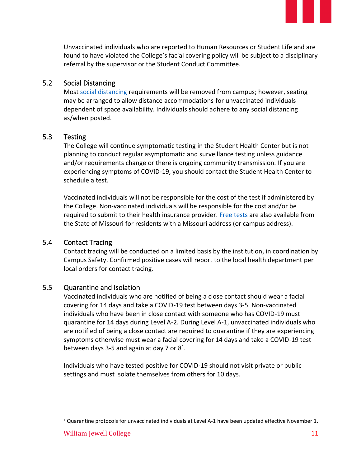Unvaccinated individuals who are reported to Human Resources or Student Life and are found to have violated the College's facial covering policy will be subject to a disciplinary referral by the supervisor or the Student Conduct Committee.

#### 5.2 Social Distancing

Most [social distancing](https://www.cdc.gov/coronavirus/2019-ncov/prevent-getting-sick/social-distancing.html) requirements will be removed from campus; however, seating may be arranged to allow distance accommodations for unvaccinated individuals dependent of space availability. Individuals should adhere to any social distancing as/when posted.

#### 5.3 Testing

The College will continue symptomatic testing in the Student Health Center but is not planning to conduct regular asymptomatic and surveillance testing unless guidance and/or requirements change or there is ongoing community transmission. If you are experiencing symptoms of COVID-19, you should contact the Student Health Center to schedule a test.

Vaccinated individuals will not be responsible for the cost of the test if administered by the College. Non-vaccinated individuals will be responsible for the cost and/or be required to submit to their health insurance provider. [Free tests](https://health.mo.gov/living/healthcondiseases/communicable/novel-coronavirus/community-test.php) are also available from the State of Missouri for residents with a Missouri address (or campus address).

#### 5.4 Contact Tracing

Contact tracing will be conducted on a limited basis by the institution, in coordination by Campus Safety. Confirmed positive cases will report to the local health department per local orders for contact tracing.

#### 5.5 Quarantine and Isolation

Vaccinated individuals who are notified of being a close contact should wear a facial covering for 14 days and take a COVID-19 test between days 3-5. Non-vaccinated individuals who have been in close contact with someone who has COVID-19 must quarantine for 14 days during Level A-2. During Level A-1, unvaccinated individuals who are notified of being a close contact are required to quarantine if they are experiencing symptoms otherwise must wear a facial covering for 14 days and take a COVID-19 test between days 3-5 and again at day 7 or  $8^1$ .

Individuals who have tested positive for COVID-19 should not visit private or public settings and must isolate themselves from others for 10 days.

<sup>&</sup>lt;sup>1</sup> Quarantine protocols for unvaccinated individuals at Level A-1 have been updated effective November 1.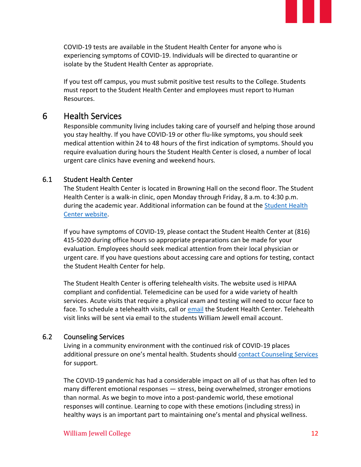COVID-19 tests are available in the Student Health Center for anyone who is experiencing symptoms of COVID-19. Individuals will be directed to quarantine or isolate by the Student Health Center as appropriate.

If you test off campus, you must submit positive test results to the College. Students must report to the Student Health Center and employees must report to Human Resources.

#### 6 Health Services

Responsible community living includes taking care of yourself and helping those around you stay healthy. If you have COVID-19 or other flu-like symptoms, you should seek medical attention within 24 to 48 hours of the first indication of symptoms. Should you require evaluation during hours the Student Health Center is closed, a number of local urgent care clinics have evening and weekend hours.

#### 6.1 Student Health Center

The Student Health Center is located in Browning Hall on the second floor. The Student Health Center is a walk-in clinic, open Monday through Friday, 8 a.m. to 4:30 p.m. during the academic year. Additional information can be found at the [Student Health](https://www.jewell.edu/live/student-services/health-center)  [Center website.](https://www.jewell.edu/live/student-services/health-center)

If you have symptoms of COVID-19, please contact the Student Health Center at (816) 415-5020 during office hours so appropriate preparations can be made for your evaluation. Employees should seek medical attention from their local physician or urgent care. If you have questions about accessing care and options for testing, contact the Student Health Center for help.

The Student Health Center is offering telehealth visits. The website used is HIPAA compliant and confidential. Telemedicine can be used for a wide variety of health services. Acute visits that require a physical exam and testing will need to occur face to face. To schedule a telehealth visits, call or [email](mailto:healthcenter@william.jewell.edu) the Student Health Center. Telehealth visit links will be sent via email to the students William Jewell email account.

#### 6.2 Counseling Services

Living in a community environment with the continued risk of COVID-19 places additional pressure on one's mental health. Students should [contact Counseling Services](https://www.jewell.edu/live/student-services/counseling-services) for support.

The COVID-19 pandemic has had a considerable impact on all of us that has often led to many different emotional responses — stress, being overwhelmed, stronger emotions than normal. As we begin to move into a post-pandemic world, these emotional responses will continue. Learning to cope with these emotions (including stress) in healthy ways is an important part to maintaining one's mental and physical wellness.

#### William Jewell College 12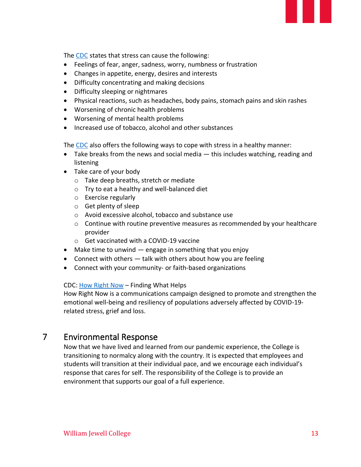The [CDC](https://www.cdc.gov/coronavirus/2019-ncov/daily-life-coping/managing-stress-anxiety.html) states that stress can cause the following:

- Feelings of fear, anger, sadness, worry, numbness or frustration
- Changes in appetite, energy, desires and interests
- Difficulty concentrating and making decisions
- Difficulty sleeping or nightmares
- Physical reactions, such as headaches, body pains, stomach pains and skin rashes
- Worsening of chronic health problems
- Worsening of mental health problems
- Increased use of tobacco, alcohol and other substances

The [CDC](https://www.cdc.gov/coronavirus/2019-ncov/daily-life-coping/managing-stress-anxiety.html) also offers the following ways to cope with stress in a healthy manner:

- Take breaks from the news and social media this includes watching, reading and listening
- Take care of your body
	- o Take deep breaths, stretch or mediate
	- o Try to eat a healthy and well-balanced diet
	- o Exercise regularly
	- o Get plenty of sleep
	- o Avoid excessive alcohol, tobacco and substance use
	- o Continue with routine preventive measures as recommended by your healthcare provider
	- o Get vaccinated with a COVID-19 vaccine
- Make time to unwind engage in something that you enjoy
- Connect with others  $-$  talk with others about how you are feeling
- Connect with your community- or faith-based organizations

#### CDC: [How Right Now](https://www.cdc.gov/howrightnow/) – Finding What Helps

How Right Now is a communications campaign designed to promote and strengthen the emotional well-being and resiliency of populations adversely affected by COVID-19 related stress, grief and loss.

#### 7 Environmental Response

Now that we have lived and learned from our pandemic experience, the College is transitioning to normalcy along with the country. It is expected that employees and students will transition at their individual pace, and we encourage each individual's response that cares for self. The responsibility of the College is to provide an environment that supports our goal of a full experience.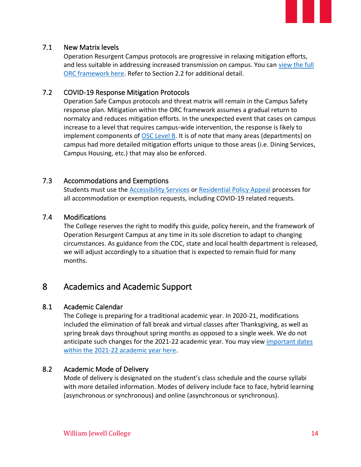

#### 7.1 New Matrix levels

Operation Resurgent Campus protocols are progressive in relaxing mitigation efforts, and less suitable in addressing increased transmission on campus. You can [view the full](https://www.jewell.edu/sites/default/files/pdf/Operation_Resurgent-Framework-11.1.21.pdf)  [ORC framework here.](https://www.jewell.edu/sites/default/files/pdf/Operation_Resurgent-Framework-11.1.21.pdf) Refer to Section 2.2 for additional detail.

#### 7.2 COVID-19 Response Mitigation Protocols

Operation Safe Campus protocols and threat matrix will remain in the Campus Safety response plan. Mitigation within the ORC framework assumes a gradual return to normalcy and reduces mitigation efforts. In the unexpected event that cases on campus increase to a level that requires campus-wide intervention, the response is likely to implement components of [OSC Level B.](https://jewell.edu/sites/default/files/pdf/Threat_matrix_8.27.20.pdf) It is of note that many areas (departments) on campus had more detailed mitigation efforts unique to those areas (i.e. Dining Services, Campus Housing, etc.) that may also be enforced.

#### 7.3 Accommodations and Exemptions

Students must use the [Accessibility Services](https://www.jewell.edu/accessibility-services) or [Residential Policy Appeal](https://williamjewell.formstack.com/forms/untitled_form_48) processes for all accommodation or exemption requests, including COVID-19 related requests.

#### 7.4 Modifications

The College reserves the right to modify this guide, policy herein, and the framework of Operation Resurgent Campus at any time in its sole discretion to adapt to changing circumstances. As guidance from the CDC, state and local health department is released, we will adjust accordingly to a situation that is expected to remain fluid for many months.

#### 8 Academics and Academic Support

#### 8.1 Academic Calendar

The College is preparing for a traditional academic year. In 2020-21, modifications included the elimination of fall break and virtual classes after Thanksgiving, as well as spring break days throughout spring months as opposed to a single week. We do not anticipate such changes for the 2021-22 academic year. You may view [important dates](https://www.jewell.edu/learn/resources/academic-calendar)  [within the 2021-22 academic year here.](https://www.jewell.edu/learn/resources/academic-calendar)

#### 8.2 Academic Mode of Delivery

Mode of delivery is designated on the student's class schedule and the course syllabi with more detailed information. Modes of delivery include face to face, hybrid learning (asynchronous or synchronous) and online (asynchronous or synchronous).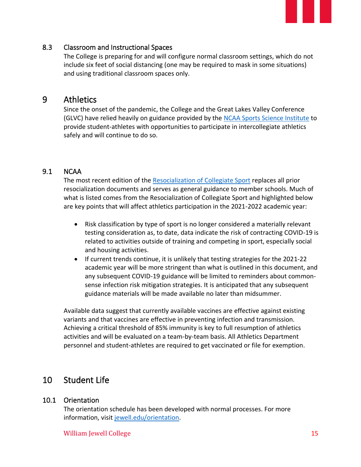#### 8.3 Classroom and Instructional Spaces

The College is preparing for and will configure normal classroom settings, which do not include six feet of social distancing (one may be required to mask in some situations) and using traditional classroom spaces only.

#### 9 Athletics

Since the onset of the pandemic, the College and the Great Lakes Valley Conference (GLVC) have relied heavily on guidance provided by the [NCAA Sports Science Institute](https://www.ncaa.org/sport-science-institute/covid-19-coronavirus) to provide student-athletes with opportunities to participate in intercollegiate athletics safely and will continue to do so.

#### 9.1 NCAA

The most recent edition of the [Resocialization of Collegiate Sport](https://ncaaorg.s3.amazonaws.com/ssi/COVID/SSI_ResocializationSummerActivities.pdf) replaces all prior resocialization documents and serves as general guidance to member schools. Much of what is listed comes from the Resocialization of Collegiate Sport and highlighted below are key points that will affect athletics participation in the 2021-2022 academic year:

- Risk classification by type of sport is no longer considered a materially relevant testing consideration as, to date, data indicate the risk of contracting COVID-19 is related to activities outside of training and competing in sport, especially social and housing activities.
- If current trends continue, it is unlikely that testing strategies for the 2021-22 academic year will be more stringent than what is outlined in this document, and any subsequent COVID-19 guidance will be limited to reminders about commonsense infection risk mitigation strategies. It is anticipated that any subsequent guidance materials will be made available no later than midsummer.

Available data suggest that currently available vaccines are effective against existing variants and that vaccines are effective in preventing infection and transmission. Achieving a critical threshold of 85% immunity is key to full resumption of athletics activities and will be evaluated on a team-by-team basis. All Athletics Department personnel and student-athletes are required to get vaccinated or file for exemption.

#### 10 Student Life

#### 10.1 Orientation

The orientation schedule has been developed with normal processes. For more information, visit [jewell.edu/orientation.](https://www.jewell.edu/orientation)

#### William Jewell College 15